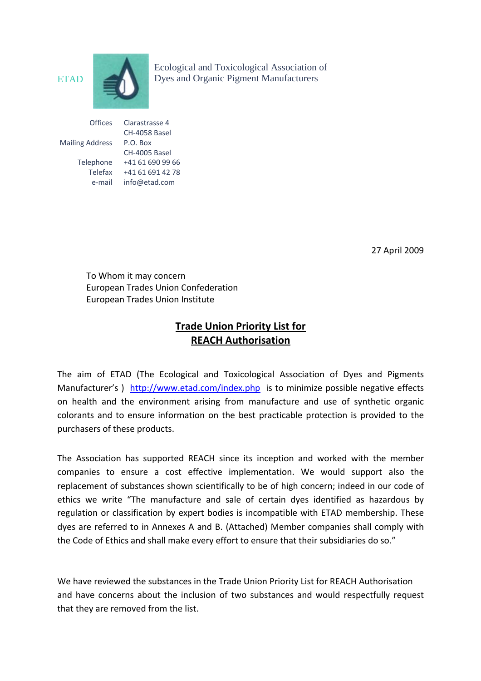

Ecological and Toxicological Association of ETAD Dyes and Organic Pigment Manufacturers

| Offices                | Clarastrasse 4   |
|------------------------|------------------|
|                        | CH-4058 Basel    |
| <b>Mailing Address</b> | $P.O.$ Box       |
|                        | CH-4005 Basel    |
| Telephone              | +41 61 690 99 66 |
| Telefax                | +41 61 691 42 78 |
| e-mail                 | info@etad.com    |

27 April 2009

To Whom it may concern European Trades Union Confederation European Trades Union Institute

# **Trade Union Priority List for REACH Authorisation**

The aim of ETAD (The Ecological and Toxicological Association of Dyes and Pigments Manufacturer's ) <http://www.etad.com/index.php> is to minimize possible negative effects on health and the environment arising from manufacture and use of synthetic organic colorants and to ensure information on the best practicable protection is provided to the purchasers of these products.

The Association has supported REACH since its inception and worked with the member companies to ensure a cost effective implementation. We would support also the replacement of substances shown scientifically to be of high concern; indeed in our code of ethics we write "The manufacture and sale of certain dyes identified as hazardous by regulation or classification by expert bodies is incompatible with ETAD membership. These dyes are referred to in Annexes A and B. (Attached) Member companies shall comply with the Code of Ethics and shall make every effort to ensure that their subsidiaries do so."

We have reviewed the substances in the Trade Union Priority List for REACH Authorisation and have concerns about the inclusion of two substances and would respectfully request that they are removed from the list.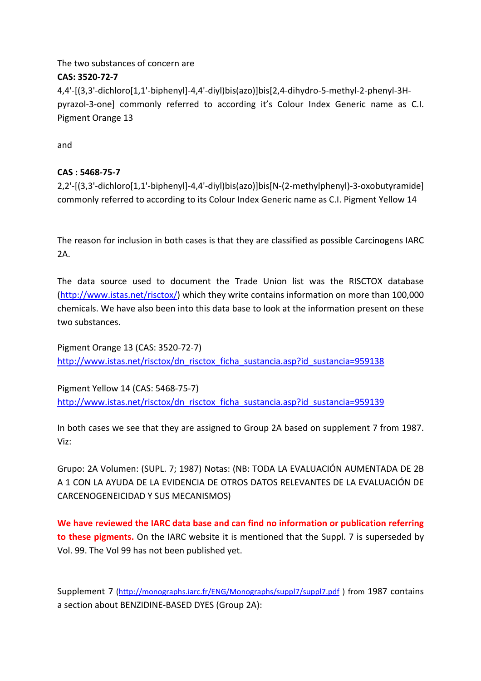The two substances of concern are

### **CAS: 3520‐72‐7**

4,4'‐[(3,3'‐dichloro[1,1'‐biphenyl]‐4,4'‐diyl)bis(azo)]bis[2,4‐dihydro‐5‐methyl‐2‐phenyl‐3H‐ pyrazol-3-one] commonly referred to according it's Colour Index Generic name as C.I. Pigment Orange 13

and

## **CAS : 5468‐75‐7**

2,2'‐[(3,3'‐dichloro[1,1'‐biphenyl]‐4,4'‐diyl)bis(azo)]bis[N‐(2‐methylphenyl)‐3‐oxobutyramide] commonly referred to according to its Colour Index Generic name as C.I. Pigment Yellow 14

The reason for inclusion in both cases is that they are classified as possible Carcinogens IARC  $2A$ .

The data source used to document the Trade Union list was the RISCTOX database (<http://www.istas.net/risctox/>) which they write contains information on more than 100,000 chemicals. We have also been into this data base to look at the information present on these two substances.

Pigment Orange 13 (CAS: 3520‐72‐7) [http://www.istas.net/risctox/dn\\_risctox\\_ficha\\_sustancia.asp?id\\_sustancia=959138](http://www.istas.net/risctox/dn_risctox_ficha_sustancia.asp?id_sustancia=959138)

Pigment Yellow 14 (CAS: 5468‐75‐7) [http://www.istas.net/risctox/dn\\_risctox\\_ficha\\_sustancia.asp?id\\_sustancia=959139](http://www.istas.net/risctox/dn_risctox_ficha_sustancia.asp?id_sustancia=959139)

In both cases we see that they are assigned to Group 2A based on supplement 7 from 1987. Viz:

Grupo: 2A Volumen: (SUPL. 7; 1987) Notas: (NB: TODA LA EVALUACIÓN AUMENTADA DE 2B A 1 CON LA AYUDA DE LA EVIDENCIA DE OTROS DATOS RELEVANTES DE LA EVALUACIÓN DE CARCENOGENEICIDAD Y SUS MECANISMOS)

**We have reviewed the IARC data base and can find no information or publication referring to these pigments.** On the IARC website it is mentioned that the Suppl. 7 is superseded by Vol. 99. The Vol 99 has not been published yet.

Supplement 7 (<http://monographs.iarc.fr/ENG/Monographs/suppl7/suppl7.pdf> ) from 1987 contains a section about BENZIDINE‐BASED DYES (Group 2A):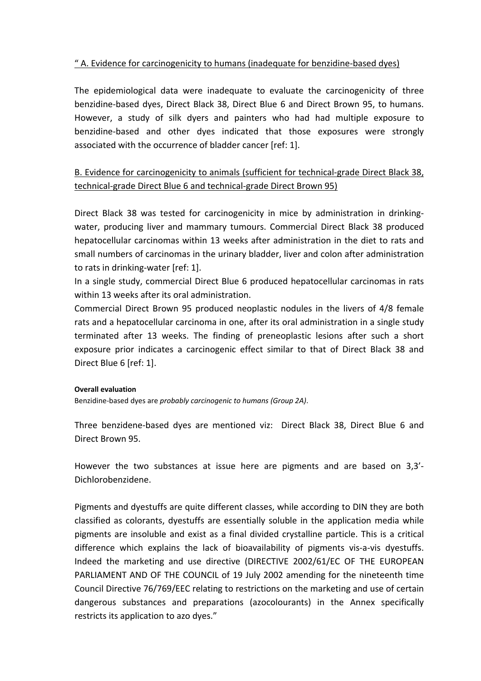### " A. Evidence for carcinogenicity to humans (inadequate for benzidine‐based dyes)

The epidemiological data were inadequate to evaluate the carcinogenicity of three benzidine‐based dyes, Direct Black 38, Direct Blue 6 and Direct Brown 95, to humans. However, a study of silk dyers and painters who had had multiple exposure to benzidine‐based and other dyes indicated that those exposures were strongly associated with the occurrence of bladder cancer [ref: 1].

## B. Evidence for carcinogenicity to animals (sufficient for technical‐grade Direct Black 38, technical‐grade Direct Blue 6 and technical‐grade Direct Brown 95)

Direct Black 38 was tested for carcinogenicity in mice by administration in drinking‐ water, producing liver and mammary tumours. Commercial Direct Black 38 produced hepatocellular carcinomas within 13 weeks after administration in the diet to rats and small numbers of carcinomas in the urinary bladder, liver and colon after administration to rats in drinking‐water [ref: 1].

In a single study, commercial Direct Blue 6 produced hepatocellular carcinomas in rats within 13 weeks after its oral administration.

Commercial Direct Brown 95 produced neoplastic nodules in the livers of 4/8 female rats and a hepatocellular carcinoma in one, after its oral administration in a single study terminated after 13 weeks. The finding of preneoplastic lesions after such a short exposure prior indicates a carcinogenic effect similar to that of Direct Black 38 and Direct Blue 6 [ref: 1].

#### **Overall evaluation**

Benzidine‐based dyes are *probably carcinogenic to humans (Group 2A)*.

Three benzidene‐based dyes are mentioned viz: Direct Black 38, Direct Blue 6 and Direct Brown 95.

However the two substances at issue here are pigments and are based on 3,3'‐ Dichlorobenzidene.

Pigments and dyestuffs are quite different classes, while according to DIN they are both classified as colorants, dyestuffs are essentially soluble in the application media while pigments are insoluble and exist as a final divided crystalline particle. This is a critical difference which explains the lack of bioavailability of pigments vis-a-vis dyestuffs. Indeed the marketing and use directive (DIRECTIVE 2002/61/EC OF THE EUROPEAN PARLIAMENT AND OF THE COUNCIL of 19 July 2002 amending for the nineteenth time Council Directive 76/769/EEC relating to restrictions on the marketing and use of certain dangerous substances and preparations (azocolourants) in the Annex specifically restricts its application to azo dyes."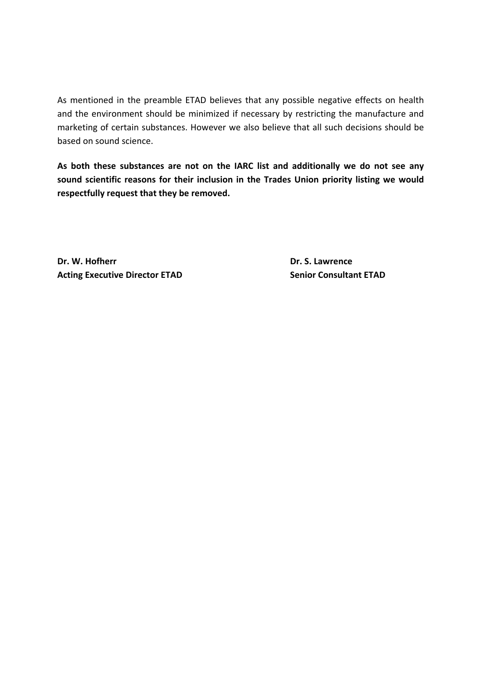As mentioned in the preamble ETAD believes that any possible negative effects on health and the environment should be minimized if necessary by restricting the manufacture and marketing of certain substances. However we also believe that all such decisions should be based on sound science.

**As both these substances are not on the IARC list and additionally we do not see any sound scientific reasons for their inclusion in the Trades Union priority listing we would respectfully request that they be removed.** 

**Dr. W. Hofherr Dr. S. Lawrence Acting Executive Director ETAD Senior Consultant ETAD**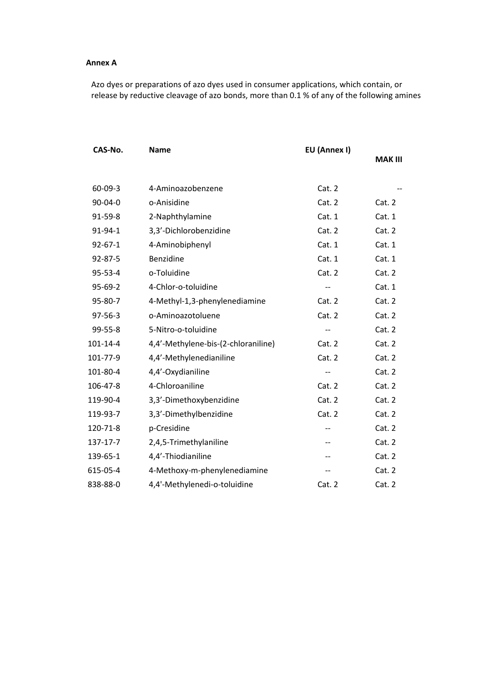#### **Annex A**

Azo dyes or preparations of azo dyes used in consumer applications, which contain, or release by reductive cleavage of azo bonds, more than 0.1 % of any of the following amines

| CAS-No.        | <b>Name</b>                         | EU (Annex I)             | <b>MAK III</b> |
|----------------|-------------------------------------|--------------------------|----------------|
|                |                                     |                          |                |
| $60 - 09 - 3$  | 4-Aminoazobenzene                   | Cat. 2                   |                |
| 90-04-0        | o-Anisidine                         | Cat. 2                   | Cat. 2         |
| 91-59-8        | 2-Naphthylamine                     | Cat. 1                   | Cat. 1         |
| 91-94-1        | 3,3'-Dichlorobenzidine              | Cat. 2                   | Cat. 2         |
| $92 - 67 - 1$  | 4-Aminobiphenyl                     | Cat. 1                   | Cat. 1         |
| 92-87-5        | Benzidine                           | Cat. 1                   | Cat. 1         |
| 95-53-4        | o-Toluidine                         | Cat. 2                   | Cat. 2         |
| $95-69-2$      | 4-Chlor-o-toluidine                 |                          | Cat. 1         |
| 95-80-7        | 4-Methyl-1,3-phenylenediamine       | Cat. 2                   | Cat. 2         |
| 97-56-3        | o-Aminoazotoluene                   | Cat. 2                   | Cat. 2         |
| 99-55-8        | 5-Nitro-o-toluidine                 | $-$                      | Cat. 2         |
| $101 - 14 - 4$ | 4,4'-Methylene-bis-(2-chloraniline) | Cat. 2                   | Cat. 2         |
| 101-77-9       | 4,4'-Methylenedianiline             | Cat. 2                   | Cat. 2         |
| 101-80-4       | 4,4'-Oxydianiline                   | $\overline{\phantom{m}}$ | Cat. 2         |
| 106-47-8       | 4-Chloroaniline                     | Cat. 2                   | Cat. 2         |
| 119-90-4       | 3,3'-Dimethoxybenzidine             | Cat. 2                   | Cat. 2         |
| 119-93-7       | 3,3'-Dimethylbenzidine              | Cat. 2                   | Cat. 2         |
| 120-71-8       | p-Cresidine                         | $-$                      | Cat. 2         |
| 137-17-7       | 2,4,5-Trimethylaniline              | $-$                      | Cat. 2         |
| 139-65-1       | 4,4'-Thiodianiline                  | --                       | Cat. 2         |
| 615-05-4       | 4-Methoxy-m-phenylenediamine        | --                       | Cat. 2         |
| 838-88-0       | 4,4'-Methylenedi-o-toluidine        | Cat. 2                   | Cat. 2         |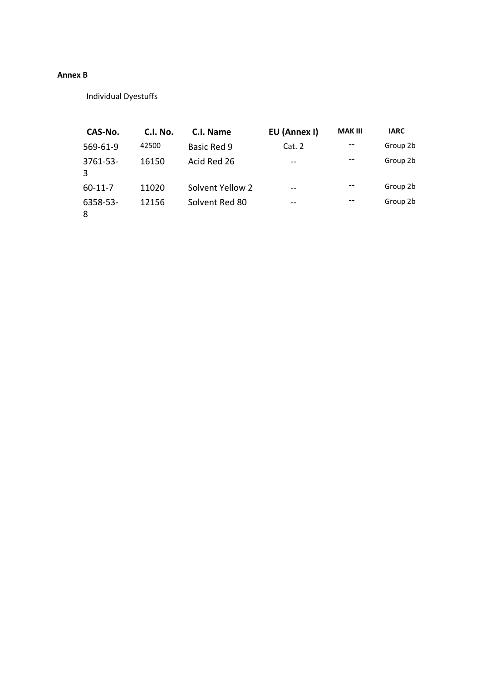#### **Annex B**

Individual Dyestuffs

| CAS-No.          | <b>C.I. No.</b> | C.I. Name        | EU (Annex I) | <b>MAK III</b> | <b>IARC</b> |
|------------------|-----------------|------------------|--------------|----------------|-------------|
| 569-61-9         | 42500           | Basic Red 9      | Cat.2        | --             | Group 2b    |
| $3761 - 53$<br>3 | 16150           | Acid Red 26      | --           |                | Group 2b    |
| $60-11-7$        | 11020           | Solvent Yellow 2 | --           | --             | Group 2b    |
| 6358-53-<br>8    | 12156           | Solvent Red 80   | --           | --             | Group 2b    |